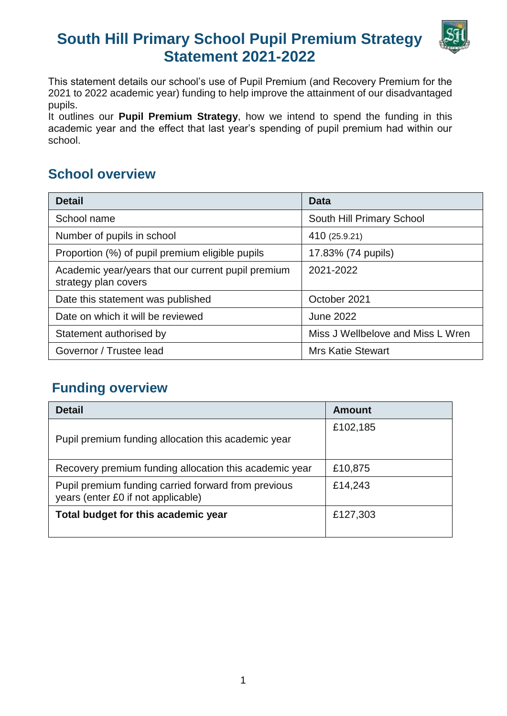# **South Hill Primary School Pupil Premium Strategy Statement 2021-2022**



This statement details our school's use of Pupil Premium (and Recovery Premium for the 2021 to 2022 academic year) funding to help improve the attainment of our disadvantaged pupils.

It outlines our **Pupil Premium Strategy**, how we intend to spend the funding in this academic year and the effect that last year's spending of pupil premium had within our school.

### **School overview**

| <b>Detail</b>                                                              | Data                              |
|----------------------------------------------------------------------------|-----------------------------------|
| School name                                                                | South Hill Primary School         |
| Number of pupils in school                                                 | 410 (25.9.21)                     |
| Proportion (%) of pupil premium eligible pupils                            | 17.83% (74 pupils)                |
| Academic year/years that our current pupil premium<br>strategy plan covers | 2021-2022                         |
| Date this statement was published                                          | October 2021                      |
| Date on which it will be reviewed                                          | <b>June 2022</b>                  |
| Statement authorised by                                                    | Miss J Wellbelove and Miss L Wren |
| Governor / Trustee lead                                                    | <b>Mrs Katie Stewart</b>          |

### **Funding overview**

| <b>Detail</b>                                                                             | Amount   |
|-------------------------------------------------------------------------------------------|----------|
| Pupil premium funding allocation this academic year                                       | £102,185 |
| Recovery premium funding allocation this academic year                                    | £10,875  |
| Pupil premium funding carried forward from previous<br>years (enter £0 if not applicable) | £14,243  |
| Total budget for this academic year                                                       | £127,303 |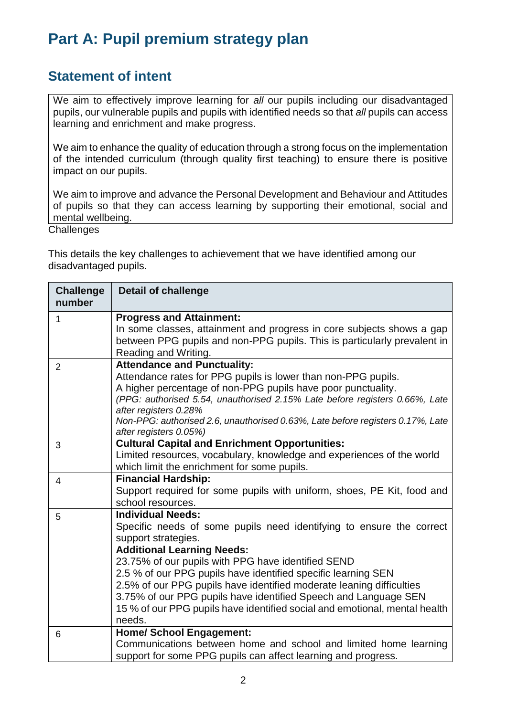# **Part A: Pupil premium strategy plan**

#### **Statement of intent**

We aim to effectively improve learning for *all* our pupils including our disadvantaged pupils, our vulnerable pupils and pupils with identified needs so that *all* pupils can access learning and enrichment and make progress.

We aim to enhance the quality of education through a strong focus on the implementation of the intended curriculum (through quality first teaching) to ensure there is positive impact on our pupils.

We aim to improve and advance the Personal Development and Behaviour and Attitudes of pupils so that they can access learning by supporting their emotional, social and mental wellbeing.

**Challenges** 

This details the key challenges to achievement that we have identified among our disadvantaged pupils.

| <b>Challenge</b><br>number | <b>Detail of challenge</b>                                                                                                                                                                                                                                                                                                                                                                                                                                                                                             |
|----------------------------|------------------------------------------------------------------------------------------------------------------------------------------------------------------------------------------------------------------------------------------------------------------------------------------------------------------------------------------------------------------------------------------------------------------------------------------------------------------------------------------------------------------------|
| 1                          | <b>Progress and Attainment:</b><br>In some classes, attainment and progress in core subjects shows a gap<br>between PPG pupils and non-PPG pupils. This is particularly prevalent in<br>Reading and Writing.                                                                                                                                                                                                                                                                                                           |
| $\overline{2}$             | <b>Attendance and Punctuality:</b><br>Attendance rates for PPG pupils is lower than non-PPG pupils.<br>A higher percentage of non-PPG pupils have poor punctuality.<br>(PPG: authorised 5.54, unauthorised 2.15% Late before registers 0.66%, Late<br>after registers 0.28%<br>Non-PPG: authorised 2.6, unauthorised 0.63%, Late before registers 0.17%, Late<br>after registers 0.05%)                                                                                                                                |
| 3                          | <b>Cultural Capital and Enrichment Opportunities:</b><br>Limited resources, vocabulary, knowledge and experiences of the world<br>which limit the enrichment for some pupils.                                                                                                                                                                                                                                                                                                                                          |
| $\overline{4}$             | <b>Financial Hardship:</b><br>Support required for some pupils with uniform, shoes, PE Kit, food and<br>school resources.                                                                                                                                                                                                                                                                                                                                                                                              |
| 5                          | <b>Individual Needs:</b><br>Specific needs of some pupils need identifying to ensure the correct<br>support strategies.<br><b>Additional Learning Needs:</b><br>23.75% of our pupils with PPG have identified SEND<br>2.5 % of our PPG pupils have identified specific learning SEN<br>2.5% of our PPG pupils have identified moderate leaning difficulties<br>3.75% of our PPG pupils have identified Speech and Language SEN<br>15 % of our PPG pupils have identified social and emotional, mental health<br>needs. |
| 6                          | <b>Home/ School Engagement:</b><br>Communications between home and school and limited home learning<br>support for some PPG pupils can affect learning and progress.                                                                                                                                                                                                                                                                                                                                                   |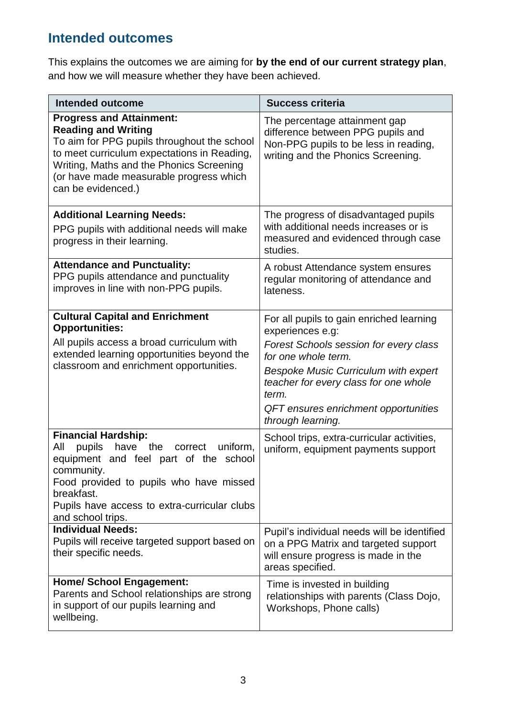## **Intended outcomes**

This explains the outcomes we are aiming for **by the end of our current strategy plan**, and how we will measure whether they have been achieved.

| <b>Intended outcome</b>                                                                                                                                                                                                                                                   | <b>Success criteria</b>                                                                                                                                                                                                                                                                            |
|---------------------------------------------------------------------------------------------------------------------------------------------------------------------------------------------------------------------------------------------------------------------------|----------------------------------------------------------------------------------------------------------------------------------------------------------------------------------------------------------------------------------------------------------------------------------------------------|
| <b>Progress and Attainment:</b><br><b>Reading and Writing</b><br>To aim for PPG pupils throughout the school<br>to meet curriculum expectations in Reading,<br>Writing, Maths and the Phonics Screening<br>(or have made measurable progress which<br>can be evidenced.)  | The percentage attainment gap<br>difference between PPG pupils and<br>Non-PPG pupils to be less in reading,<br>writing and the Phonics Screening.                                                                                                                                                  |
| <b>Additional Learning Needs:</b><br>PPG pupils with additional needs will make<br>progress in their learning.                                                                                                                                                            | The progress of disadvantaged pupils<br>with additional needs increases or is<br>measured and evidenced through case<br>studies.                                                                                                                                                                   |
| <b>Attendance and Punctuality:</b><br>PPG pupils attendance and punctuality<br>improves in line with non-PPG pupils.                                                                                                                                                      | A robust Attendance system ensures<br>regular monitoring of attendance and<br>lateness.                                                                                                                                                                                                            |
| <b>Cultural Capital and Enrichment</b><br><b>Opportunities:</b><br>All pupils access a broad curriculum with<br>extended learning opportunities beyond the<br>classroom and enrichment opportunities.                                                                     | For all pupils to gain enriched learning<br>experiences e.g:<br><b>Forest Schools session for every class</b><br>for one whole term.<br><b>Bespoke Music Curriculum with expert</b><br>teacher for every class for one whole<br>term.<br>QFT ensures enrichment opportunities<br>through learning. |
| <b>Financial Hardship:</b><br>have<br>pupils<br>the<br>uniform,<br>All<br>correct<br>equipment and feel part of the<br>school<br>community.<br>Food provided to pupils who have missed<br>breakfast.<br>Pupils have access to extra-curricular clubs<br>and school trips. | School trips, extra-curricular activities,<br>uniform, equipment payments support                                                                                                                                                                                                                  |
| <b>Individual Needs:</b><br>Pupils will receive targeted support based on<br>their specific needs.                                                                                                                                                                        | Pupil's individual needs will be identified<br>on a PPG Matrix and targeted support<br>will ensure progress is made in the<br>areas specified.                                                                                                                                                     |
| <b>Home/ School Engagement:</b><br>Parents and School relationships are strong<br>in support of our pupils learning and<br>wellbeing.                                                                                                                                     | Time is invested in building<br>relationships with parents (Class Dojo,<br>Workshops, Phone calls)                                                                                                                                                                                                 |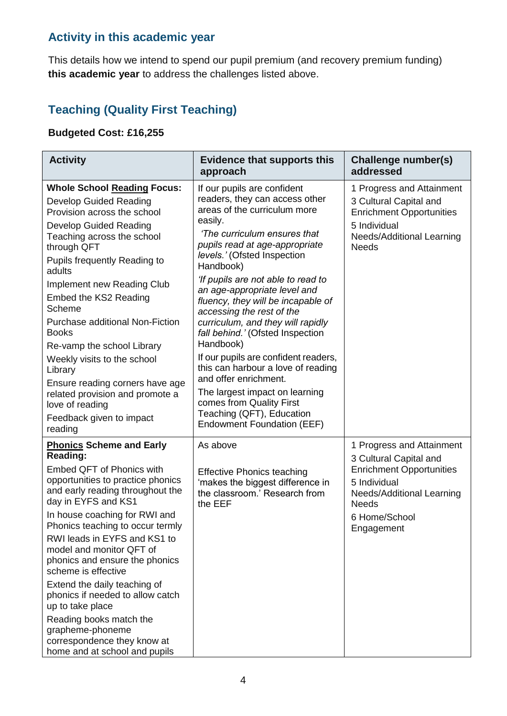# **Activity in this academic year**

This details how we intend to spend our pupil premium (and recovery premium funding) **this academic year** to address the challenges listed above.

#### **Teaching (Quality First Teaching)**

#### **Budgeted Cost: £16,255**

| <b>Activity</b>                                                                                                                                                                                                                                                                                                                                                                                                                                                                                                                                                                  | <b>Evidence that supports this</b><br>approach                                                                                                                                                                                                                                                                                                                                                                                                                                                                                                                                                                                                                                               | Challenge number(s)<br>addressed                                                                                                                                                   |
|----------------------------------------------------------------------------------------------------------------------------------------------------------------------------------------------------------------------------------------------------------------------------------------------------------------------------------------------------------------------------------------------------------------------------------------------------------------------------------------------------------------------------------------------------------------------------------|----------------------------------------------------------------------------------------------------------------------------------------------------------------------------------------------------------------------------------------------------------------------------------------------------------------------------------------------------------------------------------------------------------------------------------------------------------------------------------------------------------------------------------------------------------------------------------------------------------------------------------------------------------------------------------------------|------------------------------------------------------------------------------------------------------------------------------------------------------------------------------------|
| <b>Whole School Reading Focus:</b><br><b>Develop Guided Reading</b><br>Provision across the school<br><b>Develop Guided Reading</b><br>Teaching across the school<br>through QFT<br>Pupils frequently Reading to<br>adults<br>Implement new Reading Club<br><b>Embed the KS2 Reading</b><br>Scheme<br><b>Purchase additional Non-Fiction</b><br><b>Books</b><br>Re-vamp the school Library<br>Weekly visits to the school<br>Library<br>Ensure reading corners have age<br>related provision and promote a<br>love of reading<br>Feedback given to impact<br>reading             | If our pupils are confident<br>readers, they can access other<br>areas of the curriculum more<br>easily.<br>'The curriculum ensures that<br>pupils read at age-appropriate<br>levels.' (Ofsted Inspection<br>Handbook)<br>'If pupils are not able to read to<br>an age-appropriate level and<br>fluency, they will be incapable of<br>accessing the rest of the<br>curriculum, and they will rapidly<br>fall behind.' (Ofsted Inspection<br>Handbook)<br>If our pupils are confident readers,<br>this can harbour a love of reading<br>and offer enrichment.<br>The largest impact on learning<br>comes from Quality First<br>Teaching (QFT), Education<br><b>Endowment Foundation (EEF)</b> | 1 Progress and Attainment<br>3 Cultural Capital and<br><b>Enrichment Opportunities</b><br>5 Individual<br>Needs/Additional Learning<br><b>Needs</b>                                |
| <b>Phonics Scheme and Early</b><br>Reading:<br><b>Embed QFT of Phonics with</b><br>opportunities to practice phonics<br>and early reading throughout the<br>day in EYFS and KS1<br>In house coaching for RWI and<br>Phonics teaching to occur termly<br>RWI leads in EYFS and KS1 to<br>model and monitor QFT of<br>phonics and ensure the phonics<br>scheme is effective<br>Extend the daily teaching of<br>phonics if needed to allow catch<br>up to take place<br>Reading books match the<br>grapheme-phoneme<br>correspondence they know at<br>home and at school and pupils | As above<br><b>Effective Phonics teaching</b><br>'makes the biggest difference in<br>the classroom.' Research from<br>the EEF                                                                                                                                                                                                                                                                                                                                                                                                                                                                                                                                                                | 1 Progress and Attainment<br>3 Cultural Capital and<br><b>Enrichment Opportunities</b><br>5 Individual<br>Needs/Additional Learning<br><b>Needs</b><br>6 Home/School<br>Engagement |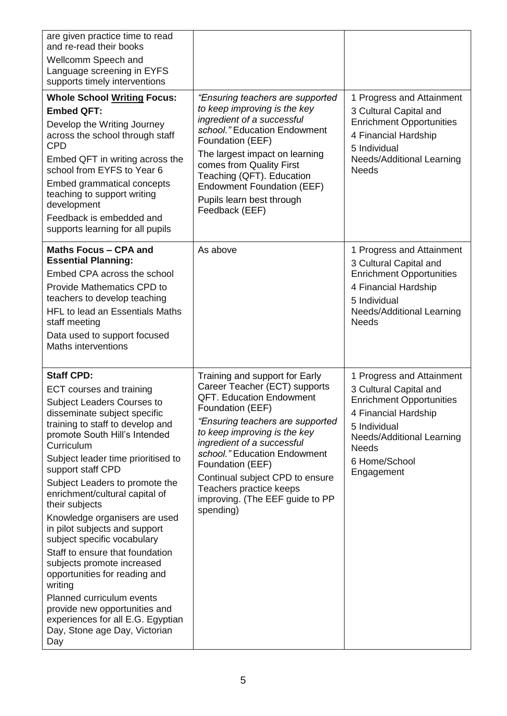| are given practice time to read<br>and re-read their books<br>Wellcomm Speech and<br>Language screening in EYFS<br>supports timely interventions                                                                                                                                                                                                                                                                                                                                                                                                                                                                                                                                                                |                                                                                                                                                                                                                                                                                                                                                                                            |                                                                                                                                                                                                                   |
|-----------------------------------------------------------------------------------------------------------------------------------------------------------------------------------------------------------------------------------------------------------------------------------------------------------------------------------------------------------------------------------------------------------------------------------------------------------------------------------------------------------------------------------------------------------------------------------------------------------------------------------------------------------------------------------------------------------------|--------------------------------------------------------------------------------------------------------------------------------------------------------------------------------------------------------------------------------------------------------------------------------------------------------------------------------------------------------------------------------------------|-------------------------------------------------------------------------------------------------------------------------------------------------------------------------------------------------------------------|
| <b>Whole School Writing Focus:</b><br><b>Embed QFT:</b><br>Develop the Writing Journey<br>across the school through staff<br><b>CPD</b><br>Embed QFT in writing across the<br>school from EYFS to Year 6<br>Embed grammatical concepts<br>teaching to support writing<br>development<br>Feedback is embedded and<br>supports learning for all pupils                                                                                                                                                                                                                                                                                                                                                            | "Ensuring teachers are supported<br>to keep improving is the key<br>ingredient of a successful<br>school." Education Endowment<br>Foundation (EEF)<br>The largest impact on learning<br>comes from Quality First<br>Teaching (QFT). Education<br><b>Endowment Foundation (EEF)</b><br>Pupils learn best through<br>Feedback (EEF)                                                          | 1 Progress and Attainment<br>3 Cultural Capital and<br><b>Enrichment Opportunities</b><br>4 Financial Hardship<br>5 Individual<br>Needs/Additional Learning<br><b>Needs</b>                                       |
| <b>Maths Focus - CPA and</b><br><b>Essential Planning:</b><br>Embed CPA across the school<br><b>Provide Mathematics CPD to</b><br>teachers to develop teaching<br><b>HFL to lead an Essentials Maths</b><br>staff meeting<br>Data used to support focused<br><b>Maths interventions</b>                                                                                                                                                                                                                                                                                                                                                                                                                         | As above                                                                                                                                                                                                                                                                                                                                                                                   | 1 Progress and Attainment<br>3 Cultural Capital and<br><b>Enrichment Opportunities</b><br>4 Financial Hardship<br>5 Individual<br><b>Needs/Additional Learning</b><br><b>Needs</b>                                |
| <b>Staff CPD:</b><br>ECT courses and training<br><b>Subject Leaders Courses to</b><br>disseminate subject specific<br>training to staff to develop and<br>promote South Hill's Intended<br>Curriculum<br>Subject leader time prioritised to<br>support staff CPD<br>Subject Leaders to promote the<br>enrichment/cultural capital of<br>their subjects<br>Knowledge organisers are used<br>in pilot subjects and support<br>subject specific vocabulary<br>Staff to ensure that foundation<br>subjects promote increased<br>opportunities for reading and<br>writing<br>Planned curriculum events<br>provide new opportunities and<br>experiences for all E.G. Egyptian<br>Day, Stone age Day, Victorian<br>Day | Training and support for Early<br>Career Teacher (ECT) supports<br><b>QFT. Education Endowment</b><br>Foundation (EEF)<br>"Ensuring teachers are supported<br>to keep improving is the key<br>ingredient of a successful<br>school." Education Endowment<br>Foundation (EEF)<br>Continual subject CPD to ensure<br>Teachers practice keeps<br>improving. (The EEF guide to PP<br>spending) | 1 Progress and Attainment<br>3 Cultural Capital and<br><b>Enrichment Opportunities</b><br>4 Financial Hardship<br>5 Individual<br><b>Needs/Additional Learning</b><br><b>Needs</b><br>6 Home/School<br>Engagement |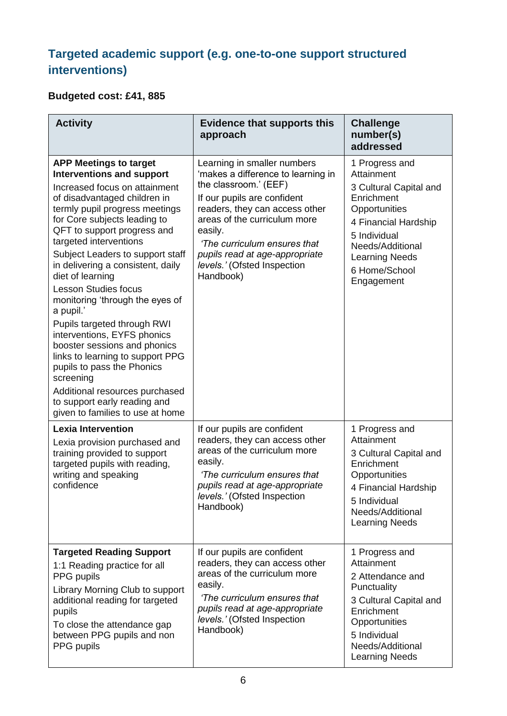### **Targeted academic support (e.g. one-to-one support structured interventions)**

#### **Budgeted cost: £41, 885**

| <b>Activity</b>                                                                                                                                                                                                                                                                                                                                                                                                                                                                                                                                                                                                                                                                                                              | <b>Evidence that supports this</b><br>approach                                                                                                                                                                                                                                                                       | <b>Challenge</b><br>number(s)<br>addressed                                                                                                                                                                |
|------------------------------------------------------------------------------------------------------------------------------------------------------------------------------------------------------------------------------------------------------------------------------------------------------------------------------------------------------------------------------------------------------------------------------------------------------------------------------------------------------------------------------------------------------------------------------------------------------------------------------------------------------------------------------------------------------------------------------|----------------------------------------------------------------------------------------------------------------------------------------------------------------------------------------------------------------------------------------------------------------------------------------------------------------------|-----------------------------------------------------------------------------------------------------------------------------------------------------------------------------------------------------------|
| <b>APP Meetings to target</b><br><b>Interventions and support</b><br>Increased focus on attainment<br>of disadvantaged children in<br>termly pupil progress meetings<br>for Core subjects leading to<br>QFT to support progress and<br>targeted interventions<br>Subject Leaders to support staff<br>in delivering a consistent, daily<br>diet of learning<br><b>Lesson Studies focus</b><br>monitoring 'through the eyes of<br>a pupil.'<br>Pupils targeted through RWI<br>interventions, EYFS phonics<br>booster sessions and phonics<br>links to learning to support PPG<br>pupils to pass the Phonics<br>screening<br>Additional resources purchased<br>to support early reading and<br>given to families to use at home | Learning in smaller numbers<br>'makes a difference to learning in<br>the classroom.' (EEF)<br>If our pupils are confident<br>readers, they can access other<br>areas of the curriculum more<br>easily.<br>'The curriculum ensures that<br>pupils read at age-appropriate<br>levels.' (Ofsted Inspection<br>Handbook) | 1 Progress and<br>Attainment<br>3 Cultural Capital and<br>Enrichment<br>Opportunities<br>4 Financial Hardship<br>5 Individual<br>Needs/Additional<br><b>Learning Needs</b><br>6 Home/School<br>Engagement |
| <b>Lexia Intervention</b><br>Lexia provision purchased and<br>training provided to support<br>targeted pupils with reading,<br>writing and speaking<br>confidence                                                                                                                                                                                                                                                                                                                                                                                                                                                                                                                                                            | If our pupils are confident<br>readers, they can access other<br>areas of the curriculum more<br>easily.<br>'The curriculum ensures that<br>pupils read at age-appropriate<br>levels.' (Ofsted Inspection<br>Handbook)                                                                                               | 1 Progress and<br>Attainment<br>3 Cultural Capital and<br>Enrichment<br>Opportunities<br>4 Financial Hardship<br>5 Individual<br>Needs/Additional<br><b>Learning Needs</b>                                |
| <b>Targeted Reading Support</b><br>1:1 Reading practice for all<br>PPG pupils<br>Library Morning Club to support<br>additional reading for targeted<br>pupils<br>To close the attendance gap<br>between PPG pupils and non<br>PPG pupils                                                                                                                                                                                                                                                                                                                                                                                                                                                                                     | If our pupils are confident<br>readers, they can access other<br>areas of the curriculum more<br>easily.<br>'The curriculum ensures that<br>pupils read at age-appropriate<br>levels.' (Ofsted Inspection<br>Handbook)                                                                                               | 1 Progress and<br>Attainment<br>2 Attendance and<br>Punctuality<br>3 Cultural Capital and<br>Enrichment<br>Opportunities<br>5 Individual<br>Needs/Additional<br><b>Learning Needs</b>                     |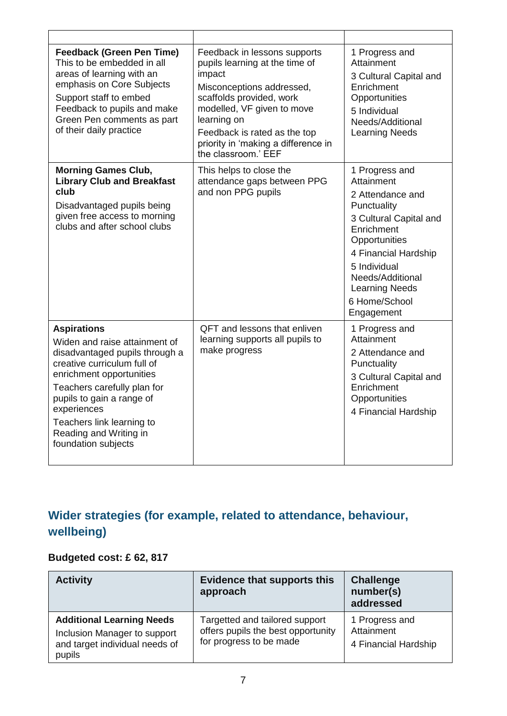| <b>Feedback (Green Pen Time)</b><br>This to be embedded in all<br>areas of learning with an<br>emphasis on Core Subjects<br>Support staff to embed<br>Feedback to pupils and make<br>Green Pen comments as part<br>of their daily practice                                                                | Feedback in lessons supports<br>pupils learning at the time of<br>impact<br>Misconceptions addressed,<br>scaffolds provided, work<br>modelled, VF given to move<br>learning on<br>Feedback is rated as the top<br>priority in 'making a difference in<br>the classroom.' EEF | 1 Progress and<br>Attainment<br>3 Cultural Capital and<br>Enrichment<br>Opportunities<br>5 Individual<br>Needs/Additional<br><b>Learning Needs</b>                                                                                           |
|-----------------------------------------------------------------------------------------------------------------------------------------------------------------------------------------------------------------------------------------------------------------------------------------------------------|------------------------------------------------------------------------------------------------------------------------------------------------------------------------------------------------------------------------------------------------------------------------------|----------------------------------------------------------------------------------------------------------------------------------------------------------------------------------------------------------------------------------------------|
| <b>Morning Games Club,</b><br><b>Library Club and Breakfast</b><br>club<br>Disadvantaged pupils being<br>given free access to morning<br>clubs and after school clubs                                                                                                                                     | This helps to close the<br>attendance gaps between PPG<br>and non PPG pupils                                                                                                                                                                                                 | 1 Progress and<br>Attainment<br>2 Attendance and<br>Punctuality<br>3 Cultural Capital and<br>Enrichment<br>Opportunities<br>4 Financial Hardship<br>5 Individual<br>Needs/Additional<br><b>Learning Needs</b><br>6 Home/School<br>Engagement |
| <b>Aspirations</b><br>Widen and raise attainment of<br>disadvantaged pupils through a<br>creative curriculum full of<br>enrichment opportunities<br>Teachers carefully plan for<br>pupils to gain a range of<br>experiences<br>Teachers link learning to<br>Reading and Writing in<br>foundation subjects | QFT and lessons that enliven<br>learning supports all pupils to<br>make progress                                                                                                                                                                                             | 1 Progress and<br>Attainment<br>2 Attendance and<br>Punctuality<br>3 Cultural Capital and<br>Enrichment<br>Opportunities<br>4 Financial Hardship                                                                                             |

### **Wider strategies (for example, related to attendance, behaviour, wellbeing)**

#### **Budgeted cost: £ 62, 817**

| <b>Activity</b>                                                                                              | <b>Evidence that supports this</b><br>approach                                                  | <b>Challenge</b><br>number(s)<br>addressed           |
|--------------------------------------------------------------------------------------------------------------|-------------------------------------------------------------------------------------------------|------------------------------------------------------|
| <b>Additional Learning Needs</b><br>Inclusion Manager to support<br>and target individual needs of<br>pupils | Targetted and tailored support<br>offers pupils the best opportunity<br>for progress to be made | 1 Progress and<br>Attainment<br>4 Financial Hardship |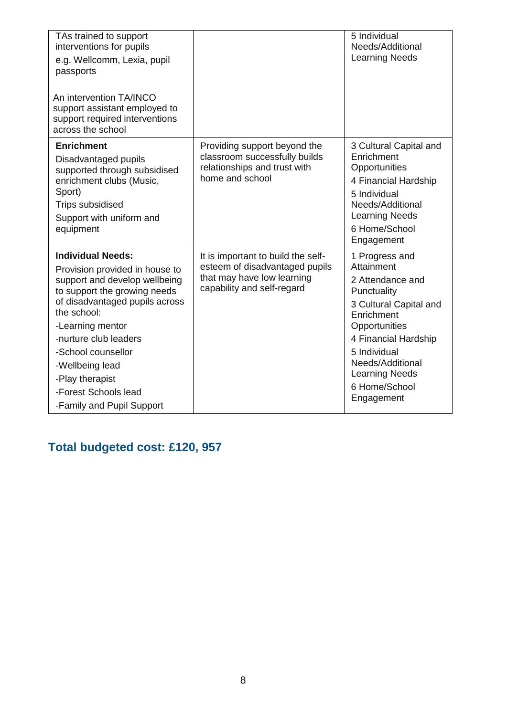| TAs trained to support<br>interventions for pupils<br>e.g. Wellcomm, Lexia, pupil<br>passports<br>An intervention TA/INCO<br>support assistant employed to<br>support required interventions<br>across the school                                                                                                                          |                                                                                                                                  | 5 Individual<br>Needs/Additional<br><b>Learning Needs</b>                                                                                                                                                                                    |
|--------------------------------------------------------------------------------------------------------------------------------------------------------------------------------------------------------------------------------------------------------------------------------------------------------------------------------------------|----------------------------------------------------------------------------------------------------------------------------------|----------------------------------------------------------------------------------------------------------------------------------------------------------------------------------------------------------------------------------------------|
| <b>Enrichment</b><br>Disadvantaged pupils<br>supported through subsidised<br>enrichment clubs (Music,<br>Sport)<br><b>Trips subsidised</b><br>Support with uniform and<br>equipment                                                                                                                                                        | Providing support beyond the<br>classroom successfully builds<br>relationships and trust with<br>home and school                 | 3 Cultural Capital and<br>Enrichment<br>Opportunities<br>4 Financial Hardship<br>5 Individual<br>Needs/Additional<br><b>Learning Needs</b><br>6 Home/School<br>Engagement                                                                    |
| <b>Individual Needs:</b><br>Provision provided in house to<br>support and develop wellbeing<br>to support the growing needs<br>of disadvantaged pupils across<br>the school:<br>-Learning mentor<br>-nurture club leaders<br>-School counsellor<br>-Wellbeing lead<br>-Play therapist<br>-Forest Schools lead<br>-Family and Pupil Support | It is important to build the self-<br>esteem of disadvantaged pupils<br>that may have low learning<br>capability and self-regard | 1 Progress and<br>Attainment<br>2 Attendance and<br>Punctuality<br>3 Cultural Capital and<br>Enrichment<br>Opportunities<br>4 Financial Hardship<br>5 Individual<br>Needs/Additional<br><b>Learning Needs</b><br>6 Home/School<br>Engagement |

# **Total budgeted cost: £120, 957**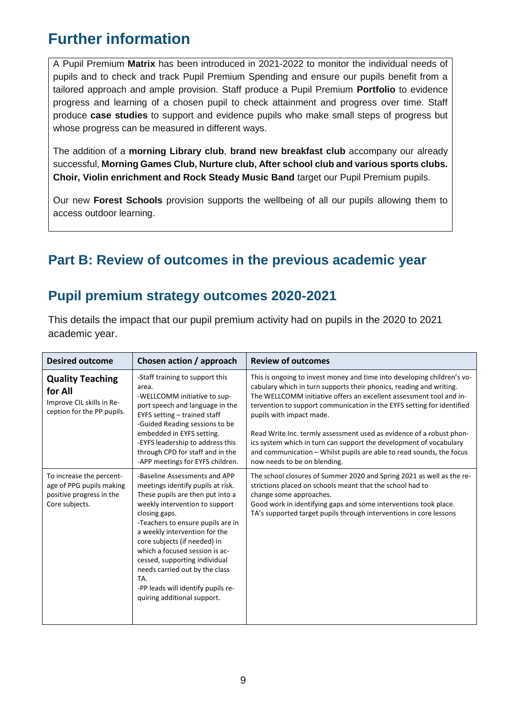# **Further information**

A Pupil Premium **Matrix** has been introduced in 2021-2022 to monitor the individual needs of pupils and to check and track Pupil Premium Spending and ensure our pupils benefit from a tailored approach and ample provision. Staff produce a Pupil Premium **Portfolio** to evidence progress and learning of a chosen pupil to check attainment and progress over time. Staff produce **case studies** to support and evidence pupils who make small steps of progress but whose progress can be measured in different ways.

The addition of a **morning Library club**, **brand new breakfast club** accompany our already successful, **Morning Games Club, Nurture club, After school club and various sports clubs. Choir, Violin enrichment and Rock Steady Music Band** target our Pupil Premium pupils.

Our new **Forest Schools** provision supports the wellbeing of all our pupils allowing them to access outdoor learning.

#### **Part B: Review of outcomes in the previous academic year**

### **Pupil premium strategy outcomes 2020-2021**

This details the impact that our pupil premium activity had on pupils in the 2020 to 2021 academic year.

| <b>Desired outcome</b>                                                                             | Chosen action / approach                                                                                                                                                                                                                                                                                                                                                                                                                         | <b>Review of outcomes</b>                                                                                                                                                                                                                                                                                                                                                                                                                                                                                                                                                         |
|----------------------------------------------------------------------------------------------------|--------------------------------------------------------------------------------------------------------------------------------------------------------------------------------------------------------------------------------------------------------------------------------------------------------------------------------------------------------------------------------------------------------------------------------------------------|-----------------------------------------------------------------------------------------------------------------------------------------------------------------------------------------------------------------------------------------------------------------------------------------------------------------------------------------------------------------------------------------------------------------------------------------------------------------------------------------------------------------------------------------------------------------------------------|
| <b>Quality Teaching</b><br>for All<br>Improve CIL skills in Re-<br>ception for the PP pupils.      | -Staff training to support this<br>area.<br>-WELLCOMM initiative to sup-<br>port speech and language in the<br>EYFS setting - trained staff<br>-Guided Reading sessions to be<br>embedded in EYFS setting.<br>-EYFS leadership to address this<br>through CPD for staff and in the<br>-APP meetings for EYFS children.                                                                                                                           | This is ongoing to invest money and time into developing children's vo-<br>cabulary which in turn supports their phonics, reading and writing.<br>The WELLCOMM initiative offers an excellent assessment tool and in-<br>tervention to support communication in the EYFS setting for identified<br>pupils with impact made.<br>Read Write Inc. termly assessment used as evidence of a robust phon-<br>ics system which in turn can support the development of vocabulary<br>and communication – Whilst pupils are able to read sounds, the focus<br>now needs to be on blending. |
| To increase the percent-<br>age of PPG pupils making<br>positive progress in the<br>Core subjects. | -Baseline Assessments and APP<br>meetings identify pupils at risk.<br>These pupils are then put into a<br>weekly intervention to support<br>closing gaps.<br>-Teachers to ensure pupils are in<br>a weekly intervention for the<br>core subjects (if needed) in<br>which a focused session is ac-<br>cessed, supporting individual<br>needs carried out by the class<br>TA.<br>-PP leads will identify pupils re-<br>quiring additional support. | The school closures of Summer 2020 and Spring 2021 as well as the re-<br>strictions placed on schools meant that the school had to<br>change some approaches.<br>Good work in identifying gaps and some interventions took place.<br>TA's supported target pupils through interventions in core lessons                                                                                                                                                                                                                                                                           |